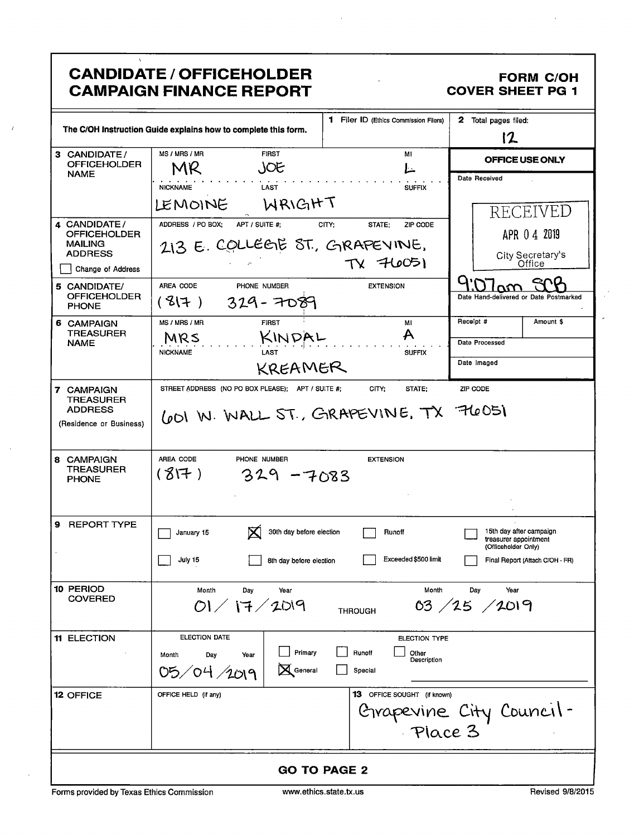| <b>CANDIDATE / OFFICEHOLDER</b> |
|---------------------------------|
| <b>CAMPAIGN FINANCE REPORT</b>  |

 $\overline{1}$ 

 $\bar{t}$ 

#### **FORM C/OH COVER SHEET PG 1**

 $\hat{\boldsymbol{r}}$ 

|                                     |                                                                | 1 Filer ID (Ethics Commission Filers) | 2 Total pages filed:                                                    |
|-------------------------------------|----------------------------------------------------------------|---------------------------------------|-------------------------------------------------------------------------|
|                                     | The C/OH Instruction Guide explains how to complete this form. |                                       | 12                                                                      |
| 3 CANDIDATE/<br><b>OFFICEHOLDER</b> | MS / MRS / MR<br><b>FIRST</b>                                  | MI                                    | OFFICE USE ONLY                                                         |
| <b>NAME</b>                         | JOE<br>MR                                                      |                                       | Date Received                                                           |
|                                     | <b>NICKNAME</b><br>LAST                                        | <b>SUFFIX</b>                         |                                                                         |
|                                     | WRIGHT<br>LEMOINE                                              |                                       | RECEIVED                                                                |
| 4 CANDIDATE/<br><b>OFFICEHOLDER</b> | ADDRESS / PO BOX;<br>APT / SUITE #:                            | CITY:<br>ZIP CODE<br>STATE:           | APR 04 2019                                                             |
| <b>MAILING</b><br><b>ADDRESS</b>    | 213 E. COLLEGE ST., GRAPEVINE,                                 |                                       | City Secretary's                                                        |
| Change of Address                   |                                                                | TV 76051                              | Office                                                                  |
| 5 CANDIDATE/                        | AREA CODE<br>PHONE NUMBER                                      | <b>EXTENSION</b>                      |                                                                         |
| <b>OFFICEHOLDER</b><br><b>PHONE</b> | (3 7)<br>$329 - 7089$                                          |                                       | Date Hand-delivered or Date Postmarked                                  |
| 6 CAMPAIGN<br><b>TREASURER</b>      | MS / MRS / MR<br><b>FIRST</b>                                  | MI                                    | Receipt #<br>Amount \$                                                  |
| <b>NAME</b>                         | KINDAL<br>MRS<br><b>NICKNAME</b><br>LAST                       | A                                     | Date Processed                                                          |
|                                     | KREAMER                                                        | <b>SUFFIX</b>                         | Date Imaged                                                             |
| 7 CAMPAIGN                          | STREET ADDRESS (NO PO BOX PLEASE); APT / SUITE #;              | CITY;<br>STATE;                       | ZIP CODE                                                                |
| TREASURER<br><b>ADDRESS</b>         | (PDI W. WALL ST., GRAPEVINE, TX 76051                          |                                       |                                                                         |
| (Residence or Business)             |                                                                |                                       |                                                                         |
|                                     |                                                                |                                       |                                                                         |
| 8 CAMPAIGN<br><b>TREASURER</b>      | AREA CODE<br>PHONE NUMBER                                      | <b>EXTENSION</b>                      |                                                                         |
| <b>PHONE</b>                        | (817)<br>$329 - 7083$                                          |                                       |                                                                         |
|                                     |                                                                |                                       |                                                                         |
| 9<br>REPORT TYPE                    |                                                                |                                       |                                                                         |
|                                     | 30th day before election<br>January 15                         | Runoff                                | 15th day after campaign<br>treasurer appointment<br>(Officeholder Only) |
|                                     | July 15<br>8th day before election                             | Exceeded \$500 limit                  | Final Report (Attach C/OH - FR)                                         |
|                                     |                                                                |                                       |                                                                         |
| 10 PERIOD<br><b>COVERED</b>         | Month<br>Year<br>Day                                           | Month                                 | Day<br>Year                                                             |
|                                     | 01 / 17 / 2019                                                 | <b>THROUGH</b>                        | 03 / 25 / 2019                                                          |
| <b>11 ELECTION</b>                  | ELECTION DATE                                                  | ELECTION TYPE                         |                                                                         |
|                                     | Primary<br>Month<br>Day<br>Year                                | Runoff<br>Other<br>Description        |                                                                         |
|                                     | General<br>05/04/2019                                          | Special                               |                                                                         |
| 12 OFFICE                           | OFFICE HELD (if any)                                           | 13 OFFICE SOUGHT (if known)           |                                                                         |
|                                     |                                                                |                                       | Grapevine City Council-                                                 |
|                                     |                                                                | Place 3                               |                                                                         |
|                                     |                                                                |                                       |                                                                         |
| <b>GO TO PAGE 2</b>                 |                                                                |                                       |                                                                         |

J.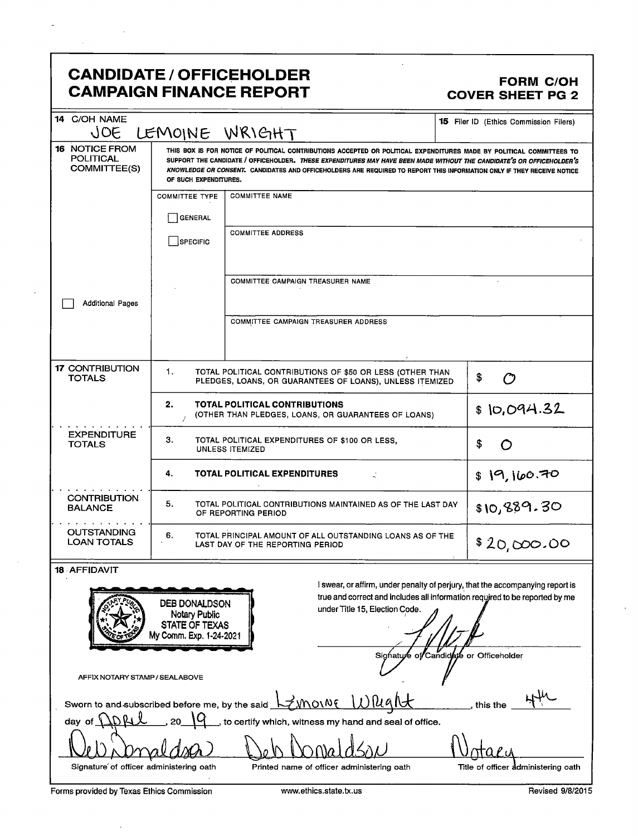# CANDIDATE / OFFICEHOLDER<br>CAMPAIGN FINANCE REPORT CAMPAIGN FINANCE REPORT **CAMPAIGN FINANCE REPORT**

 $\bar{z}$ 

| 14 C/OH NAME<br>JOE                                                                                                                                                                                                                                                                  | LEMOINE WRIGHT                                                                           |                                                                                                                                                                                                                                                                                                                                                                         | 15 Filer ID (Ethics Commission Filers) |
|--------------------------------------------------------------------------------------------------------------------------------------------------------------------------------------------------------------------------------------------------------------------------------------|------------------------------------------------------------------------------------------|-------------------------------------------------------------------------------------------------------------------------------------------------------------------------------------------------------------------------------------------------------------------------------------------------------------------------------------------------------------------------|----------------------------------------|
| <b>16 NOTICE FROM</b><br><b>POLITICAL</b><br>COMMITTEE(S)                                                                                                                                                                                                                            | OF SUCH EXPENDITURES.                                                                    | THIS BOX IS FOR NOTICE OF POLITICAL CONTRIBUTIONS ACCEPTED OR POLITICAL EXPENDITURES MADE BY POLITICAL COMMITTEES TO<br>SUPPORT THE CANDIDATE / OFFICEHOLDER. THESE EXPENDITURES MAY HAVE BEEN MADE WITHOUT THE CANDIDATE'S OR OFFICEHOLDER'S<br>KNOWLEDGE OR CONSENT. CANDIDATES AND OFFICEHOLDERS ARE REQUIRED TO REPORT THIS INFORMATION ONLY IF THEY RECEIVE NOTICE |                                        |
|                                                                                                                                                                                                                                                                                      | <b>COMMITTEE TYPE</b>                                                                    | <b>COMMITTEE NAME</b>                                                                                                                                                                                                                                                                                                                                                   |                                        |
|                                                                                                                                                                                                                                                                                      | GENERAL                                                                                  |                                                                                                                                                                                                                                                                                                                                                                         |                                        |
|                                                                                                                                                                                                                                                                                      | SPECIFIC                                                                                 | <b>COMMITTEE ADDRESS</b>                                                                                                                                                                                                                                                                                                                                                |                                        |
|                                                                                                                                                                                                                                                                                      |                                                                                          | COMMITTEE CAMPAIGN TREASURER NAME                                                                                                                                                                                                                                                                                                                                       |                                        |
| <b>Additional Pages</b>                                                                                                                                                                                                                                                              |                                                                                          | COMMITTEE CAMPAIGN TREASURER ADDRESS                                                                                                                                                                                                                                                                                                                                    |                                        |
|                                                                                                                                                                                                                                                                                      |                                                                                          |                                                                                                                                                                                                                                                                                                                                                                         |                                        |
| <b>17 CONTRIBUTION</b><br><b>TOTALS</b>                                                                                                                                                                                                                                              | 1.                                                                                       | TOTAL POLITICAL CONTRIBUTIONS OF \$50 OR LESS (OTHER THAN<br>PLEDGES, LOANS, OR GUARANTEES OF LOANS), UNLESS ITEMIZED                                                                                                                                                                                                                                                   | \$<br>ඏ                                |
|                                                                                                                                                                                                                                                                                      | 2.                                                                                       | TOTAL POLITICAL CONTRIBUTIONS<br>(OTHER THAN PLEDGES, LOANS, OR GUARANTEES OF LOANS)                                                                                                                                                                                                                                                                                    | \$10,094.32                            |
| <b>EXPENDITURE</b><br><b>TOTALS</b>                                                                                                                                                                                                                                                  | З.<br>TOTAL POLITICAL EXPENDITURES OF \$100 OR LESS.<br>\$<br>O<br>UNLESS ITEMIZED       |                                                                                                                                                                                                                                                                                                                                                                         |                                        |
|                                                                                                                                                                                                                                                                                      | 4.<br>\$19,160.70<br>TOTAL POLITICAL EXPENDITURES                                        |                                                                                                                                                                                                                                                                                                                                                                         |                                        |
| <b>CONTRIBUTION</b><br><b>BALANCE</b>                                                                                                                                                                                                                                                | 5.<br>TOTAL POLITICAL CONTRIBUTIONS MAINTAINED AS OF THE LAST DAY<br>OF REPORTING PERIOD |                                                                                                                                                                                                                                                                                                                                                                         | \$10,889.30                            |
| <b>OUTSTANDING</b><br><b>LOAN TOTALS</b>                                                                                                                                                                                                                                             | 6.                                                                                       | TOTAL PRINCIPAL AMOUNT OF ALL OUTSTANDING LOANS AS OF THE<br>LAST DAY OF THE REPORTING PERIOD                                                                                                                                                                                                                                                                           | \$20,000.00                            |
| <b>18 AFFIDAVIT</b>                                                                                                                                                                                                                                                                  |                                                                                          |                                                                                                                                                                                                                                                                                                                                                                         |                                        |
| I swear, or affirm, under penalty of perjury, that the accompanying report is<br>true and correct and includes all information required to be reported by me<br>DEB DONALDSON<br>under Title 15, Election Code.<br><b>Notary Public</b><br>STATE OF TEXAS<br>My Comm. Exp. 1-24-2021 |                                                                                          |                                                                                                                                                                                                                                                                                                                                                                         |                                        |
|                                                                                                                                                                                                                                                                                      |                                                                                          | Sighature                                                                                                                                                                                                                                                                                                                                                               | of Candidate or Officeholder           |
| AFFIX NOTARY STAMP / SEALABOVE                                                                                                                                                                                                                                                       |                                                                                          |                                                                                                                                                                                                                                                                                                                                                                         |                                        |
| <u>Zunowe Wlught</u><br>Sworn to and subscribed before me, by the said<br>this the                                                                                                                                                                                                   |                                                                                          |                                                                                                                                                                                                                                                                                                                                                                         |                                        |
| to certify which, witness my hand and seal of office.<br>day                                                                                                                                                                                                                         |                                                                                          |                                                                                                                                                                                                                                                                                                                                                                         |                                        |
|                                                                                                                                                                                                                                                                                      |                                                                                          |                                                                                                                                                                                                                                                                                                                                                                         |                                        |
| Signature of officer administering oath                                                                                                                                                                                                                                              |                                                                                          | Printed name of officer administering oath                                                                                                                                                                                                                                                                                                                              | Title of officer administering oath    |
| Forms provided by Texas Ethics Commission                                                                                                                                                                                                                                            |                                                                                          | www.ethics.state.tx.us                                                                                                                                                                                                                                                                                                                                                  | Revised 9/8/2015                       |

 $\bar{z}$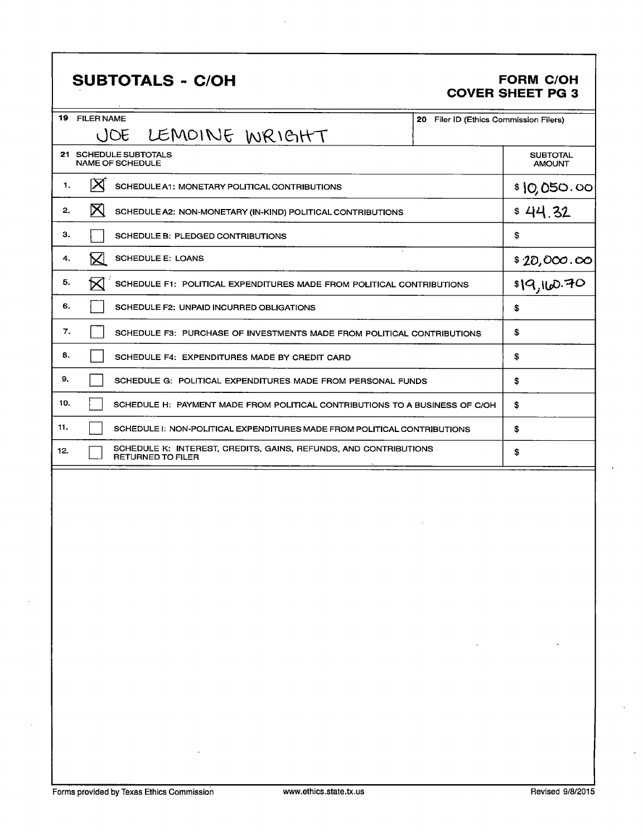# SUBTOTALS - C/OH FORM C/OH

# COVER SHEET PG 3

| 19           | <b>FILER NAME</b><br>20                                                                      | Filer ID (Ethics Commission Filers) |
|--------------|----------------------------------------------------------------------------------------------|-------------------------------------|
|              | (JOE<br>LEMOINE WRIGHT                                                                       |                                     |
|              | 21 SCHEDULE SUBTOTALS<br><b>NAME OF SCHEDULE</b>                                             | <b>SUBTOTAL</b><br><b>AMOUNT</b>    |
| $\mathbf{1}$ | IХ<br>SCHEDULE A1: MONETARY POLITICAL CONTRIBUTIONS                                          | \$10,050.00                         |
| 2.           | $\boxtimes$<br>SCHEDULE A2: NON-MONETARY (IN-KIND) POLITICAL CONTRIBUTIONS                   | \$44.32                             |
| з.           | SCHEDULE B: PLEDGED CONTRIBUTIONS                                                            | \$                                  |
| 4.           | M<br><b>SCHEDULE E: LOANS</b>                                                                |                                     |
| 5.           | SCHEDULE F1: POLITICAL EXPENDITURES MADE FROM POLITICAL CONTRIBUTIONS                        | $\frac{$20,000.00}{19,100.70}$      |
| 6.           | SCHEDULE F2: UNPAID INCURRED OBLIGATIONS                                                     | \$                                  |
| 7.           | SCHEDULE F3: PURCHASE OF INVESTMENTS MADE FROM POLITICAL CONTRIBUTIONS                       | \$                                  |
| 8.           | SCHEDULE F4: EXPENDITURES MADE BY CREDIT CARD                                                | S                                   |
| 9.           | SCHEDULE G: POLITICAL EXPENDITURES MADE FROM PERSONAL FUNDS                                  | \$                                  |
| 10.          | SCHEDULE H: PAYMENT MADE FROM POLITICAL CONTRIBUTIONS TO A BUSINESS OF C/OH                  | S                                   |
| 11.          | SCHEDULE I: NON-POLITICAL EXPENDITURES MADE FROM POLITICAL CONTRIBUTIONS                     | \$                                  |
| 12.          | SCHEDULE K: INTEREST, CREDITS, GAINS, REFUNDS, AND CONTRIBUTIONS<br><b>RETURNED TO FILER</b> | \$                                  |
|              |                                                                                              |                                     |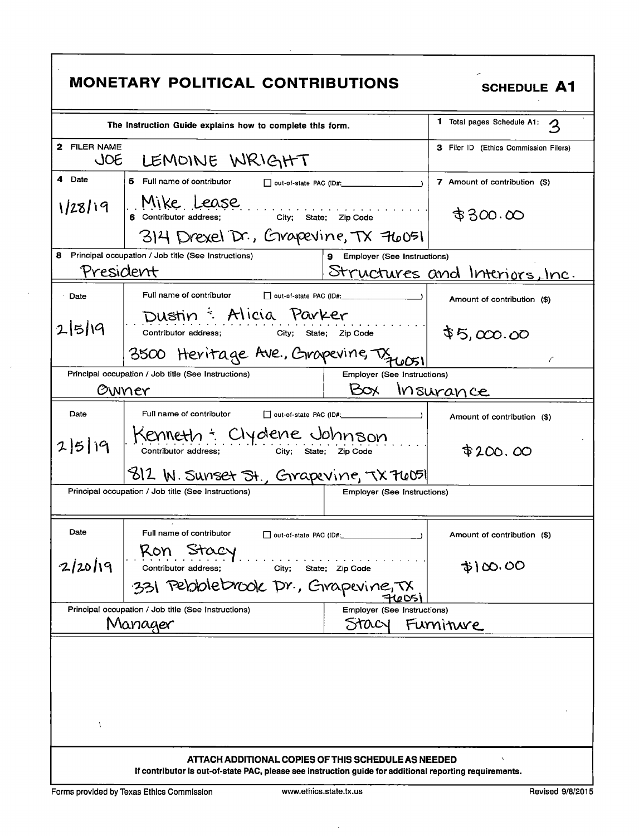|                     | <b>MONETARY POLITICAL CONTRIBUTIONS</b>                                                                                                                        |                                    | <b>SCHEDULE A1</b>                    |
|---------------------|----------------------------------------------------------------------------------------------------------------------------------------------------------------|------------------------------------|---------------------------------------|
|                     | The Instruction Guide explains how to complete this form.                                                                                                      |                                    | 1 Total pages Schedule A1:            |
| 2 FILER NAME<br>JOE | LEMOINE WRIGHT                                                                                                                                                 |                                    | 3 Filer ID (Ethics Commission Filers) |
| 4 Date              | 5 Full name of contributor<br>out-of-state PAC (ID#:                                                                                                           |                                    | 7 Amount of contribution (\$)         |
| 1/28/19             | Mike Lease<br>6 Contributor address; City; State; Zip Code                                                                                                     |                                    | \$300.00                              |
|                     | 314 Drexel Dr., Grapevine, TX 76051                                                                                                                            |                                    |                                       |
| 8                   | Principal occupation / Job title (See Instructions)                                                                                                            | 9 Employer (See Instructions)      |                                       |
| President           |                                                                                                                                                                |                                    | <u>Structures</u> and Interiors, Inc. |
| Date                | Full name of contributor<br>out-of-state PAC (ID#:                                                                                                             |                                    | Amount of contribution (\$)           |
| $2 5 $ 19           | Dustin : Alicia Parker<br>Contributor address;<br>City;                                                                                                        | State; Zip Code                    | \$5,000.00                            |
|                     | 3500 Heritage Ave., Gropevine, Tx 40051                                                                                                                        |                                    | C                                     |
|                     | Principal occupation / Job title (See Instructions)                                                                                                            | <b>Employer (See Instructions)</b> |                                       |
|                     | Owner                                                                                                                                                          | BOX                                | <u>Insurance</u>                      |
| Date                | Full name of contributor<br>out-of-state PAC (ID#:                                                                                                             |                                    | Amount of contribution (\$)           |
| 25/19               | Kenneth + Clydene Johnson<br>Contributor address;                                                                                                              | City; State; Zip Code              | \$200.00                              |
|                     | 812 W. Sunset St., Grapevine, TX 76051                                                                                                                         |                                    |                                       |
|                     | Principal occupation / Job title (See Instructions)                                                                                                            | Employer (See Instructions)        |                                       |
| Date                | Full name of contributor<br>out-of-state PAC (ID#:<br>Ron                                                                                                      |                                    | Amount of contribution (\$)           |
| 2/20/19             | Contributor address;<br>City;                                                                                                                                  | State; Zip Code                    | $\phi$ \ $\infty$ . 00                |
|                     | 331 Pebblebrook Dr., Grapevine, TX                                                                                                                             |                                    |                                       |
|                     | Principal occupation / Job title (See Instructions)                                                                                                            | Employer (See Instructions)        |                                       |
|                     | Manager                                                                                                                                                        | STACY                              | Furniture                             |
| Λ                   |                                                                                                                                                                |                                    |                                       |
|                     | ATTACH ADDITIONAL COPIES OF THIS SCHEDULE AS NEEDED<br>If contributor is out-of-state PAC, please see instruction guide for additional reporting requirements. |                                    |                                       |

 $\sim$ 

 $\sim$ 

 $\hat{\boldsymbol{\beta}}$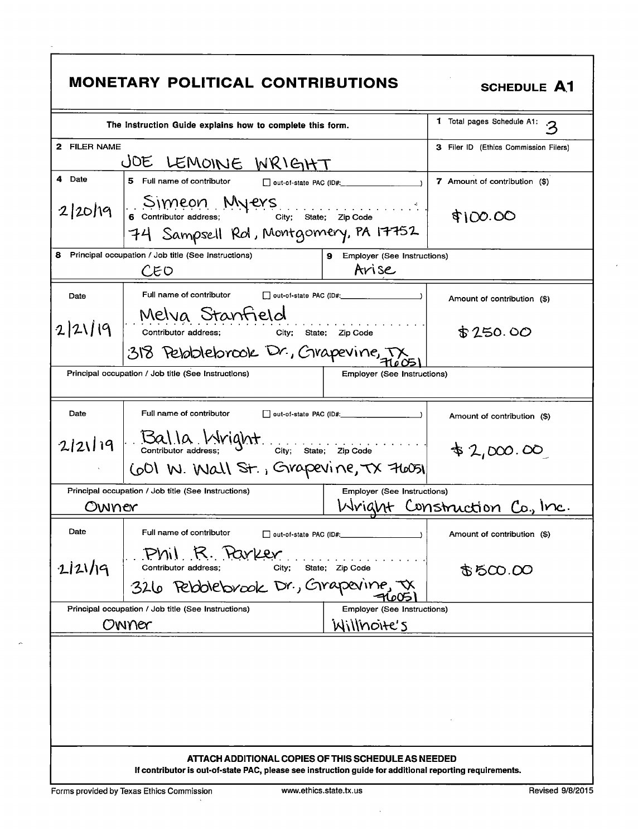|                                                                                                                                                                | <b>MONETARY POLITICAL CONTRIBUTIONS</b>                                                                                            | <b>SCHEDULE A1</b>                     |                                             |
|----------------------------------------------------------------------------------------------------------------------------------------------------------------|------------------------------------------------------------------------------------------------------------------------------------|----------------------------------------|---------------------------------------------|
|                                                                                                                                                                | The Instruction Guide explains how to complete this form.                                                                          |                                        | 1 Total pages Schedule A1:<br>$\mathcal{P}$ |
| 2 FILER NAME                                                                                                                                                   | JOE LEMOINE WRIGHT                                                                                                                 |                                        | 3 Filer ID (Ethics Commission Filers)       |
| 4 Date                                                                                                                                                         | 5 Full name of contributor                                                                                                         | out-of-state PAC (ID#:                 | 7 Amount of contribution (\$)               |
| 2/20/19                                                                                                                                                        | Simeon Myers<br>6 Contributor address; City; State; Zip Code<br>74 Sampsell Rol, Montgomery, PA 17752                              |                                        | \$100.00                                    |
|                                                                                                                                                                | 8 Principal occupation / Job title (See Instructions)<br>CEO                                                                       | 9 Employer (See Instructions)<br>Arise |                                             |
| Date                                                                                                                                                           | Full name of contributor<br>Melva Stanfield                                                                                        |                                        | Amount of contribution (\$)                 |
| 2 21 19                                                                                                                                                        | Contributor address; City; State; Zip Code                                                                                         |                                        | \$250.00                                    |
| 318 Peloblebrook Dr., Crapevine, TX<br>Principal occupation / Job title (See Instructions)<br><b>Employer (See Instructions)</b>                               |                                                                                                                                    |                                        |                                             |
| Date                                                                                                                                                           | Full name of contributor                                                                                                           | out-of-state PAC (ID#:                 | Amount of contribution (\$)                 |
| 2 21 19                                                                                                                                                        | $\begin{bmatrix} . & . & . & . \\ . & . & . & . \\ . & . & . & . \\ . & . & . & . \end{bmatrix}$ Contributor address;<br>42,000.00 |                                        |                                             |
|                                                                                                                                                                | COI W. Wall St., Grapevine, TX 76051                                                                                               |                                        |                                             |
|                                                                                                                                                                | Principal occupation / Job title (See Instructions)                                                                                | <b>Employer (See Instructions)</b>     |                                             |
| Owner                                                                                                                                                          |                                                                                                                                    |                                        | Wright Construction Co., Inc.               |
| Date                                                                                                                                                           | Full name of contributor                                                                                                           |                                        | Amount of contribution (\$)                 |
| 2 21 9                                                                                                                                                         | Phil R. Parker<br>Contributor address;<br>City;                                                                                    | State; Zip Code                        | 250.00                                      |
|                                                                                                                                                                | 326 Pebblebrook Dr., Grapevine, JX                                                                                                 |                                        |                                             |
|                                                                                                                                                                | Principal occupation / Job title (See Instructions)                                                                                | Employer (See Instructions)            |                                             |
| Willnoite's<br>Owner                                                                                                                                           |                                                                                                                                    |                                        |                                             |
|                                                                                                                                                                |                                                                                                                                    |                                        |                                             |
| ATTACH ADDITIONAL COPIES OF THIS SCHEDULE AS NEEDED<br>If contributor is out-of-state PAC, please see instruction guide for additional reporting requirements. |                                                                                                                                    |                                        |                                             |

 $\sim$ 

 $\mathbb{A}$ 

 $\sim$ 

l,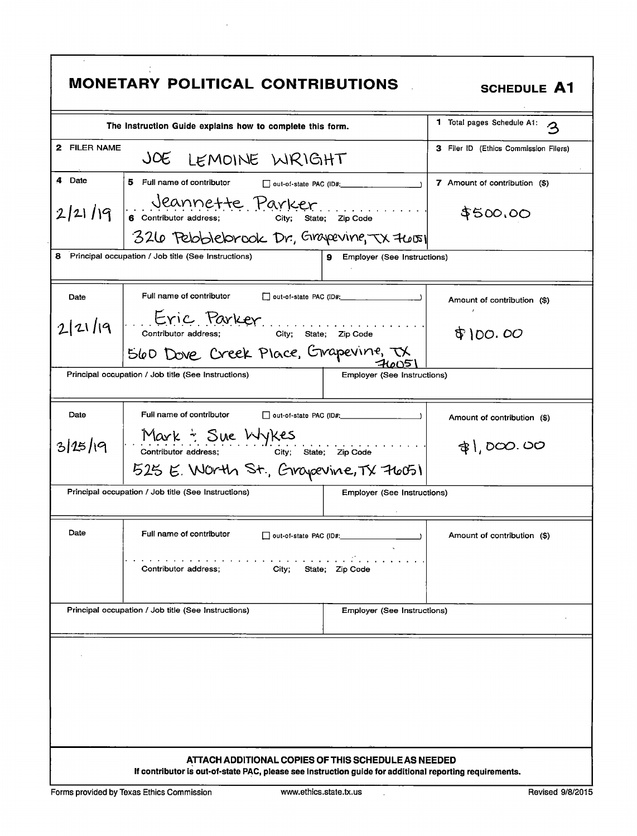|                                                                                           | <b>MONETARY POLITICAL CONTRIBUTIONS</b>                          |                                                     | <b>SCHEDULE A1</b>                    |
|-------------------------------------------------------------------------------------------|------------------------------------------------------------------|-----------------------------------------------------|---------------------------------------|
|                                                                                           | The Instruction Guide explains how to complete this form.        |                                                     | 1 Total pages Schedule A1:<br>3       |
| 2 FILER NAME                                                                              | JOE LEMOINE WRIGHT                                               |                                                     | 3 Filer ID (Ethics Commission Filers) |
| 4 Date                                                                                    | 5 Full name of contributor                                       | $\Box$ out-of-state PAC (ID#:                       | 7 Amount of contribution (\$)         |
| 2/21/19                                                                                   | Jeannette Parker<br>6 Contributor address; City;                 | State; Zip Code                                     | \$500,00                              |
|                                                                                           | 326 Peloblebrook Dr., Grapevine, TX 76051                        |                                                     |                                       |
|                                                                                           | 8 Principal occupation / Job title (See Instructions)            | <b>9</b> Employer (See Instructions)                |                                       |
| Date                                                                                      | Full name of contributor                                         |                                                     | Amount of contribution (\$)           |
| 2 21 19                                                                                   | L. Eric Parker<br>City; State; Zip Code<br>Contributor address;  |                                                     | \$100.00                              |
|                                                                                           | SLOD Dove Creek Place, Grapevine, TX                             |                                                     |                                       |
|                                                                                           | Principal occupation / Job title (See Instructions)              | Employer (See Instructions)                         |                                       |
| Date                                                                                      | Full name of contributor                                         | out-of-state PAC (ID#:                              | Amount of contribution (\$)           |
| Mark : Sue Wykes<br>3125/19<br>City; State; Zip Code<br>Contributor address;              |                                                                  |                                                     | $\frac{1}{2}$ ), DOO. OO              |
|                                                                                           | 525 E. Worth St., Grapevine, TX 76051                            |                                                     |                                       |
|                                                                                           | Principal occupation / Job title (See Instructions)              | <b>Employer (See Instructions)</b>                  |                                       |
| Date                                                                                      | Full name of contributor<br>$\Box$ out-of-state PAC (ID#: $\Box$ |                                                     | Amount of contribution (\$)           |
| and the company of the company of the<br>Contributor address:<br>City;<br>State; Zip Code |                                                                  |                                                     |                                       |
|                                                                                           | Principal occupation / Job title (See Instructions)              | Employer (See Instructions)                         |                                       |
|                                                                                           |                                                                  |                                                     |                                       |
|                                                                                           |                                                                  |                                                     |                                       |
|                                                                                           |                                                                  |                                                     |                                       |
|                                                                                           |                                                                  |                                                     |                                       |
|                                                                                           |                                                                  |                                                     |                                       |
|                                                                                           |                                                                  | ATTACH ADDITIONAL COPIES OF THIS SCHEDULE AS NEEDED |                                       |

 $\sim$   $\sim$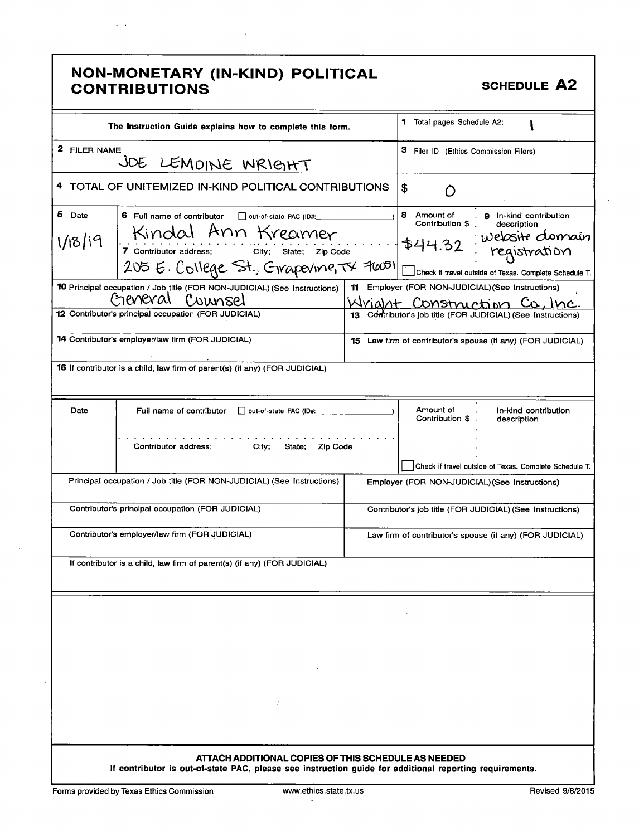|                   | NON-MONETARY (IN-KIND) POLITICAL<br><b>CONTRIBUTIONS</b>                                                                                                              |    | <b>SCHEDULE A2</b>                                                                                                                                                                 |
|-------------------|-----------------------------------------------------------------------------------------------------------------------------------------------------------------------|----|------------------------------------------------------------------------------------------------------------------------------------------------------------------------------------|
|                   | The Instruction Guide explains how to complete this form.                                                                                                             |    | <b>1</b> Total pages Schedule A2:                                                                                                                                                  |
| 2 FILER NAME      | JOE LEMOINE WRIGHT                                                                                                                                                    |    | 3 Filer ID (Ethics Commission Filers)                                                                                                                                              |
|                   | 4 TOTAL OF UNITEMIZED IN-KIND POLITICAL CONTRIBUTIONS                                                                                                                 |    | S                                                                                                                                                                                  |
| 5 Date<br>1/18/19 | 6 Full name of contributor<br>out-of-state PAC (ID#:<br>Kindal Ann Kreamer<br>7 Contributor address; City; State; Zip Code<br>205 E. College St., Grapevine, TX 96051 |    | 8 Amount of<br>. 9 In-kind contribution<br>Contribution \$.<br>description<br>Website clomain<br>\$44.32<br>registration<br>Check if travel outside of Texas. Complete Schedule T. |
|                   | 10 Principal occupation / Job title (FOR NON-JUDICIAL) (See Instructions)<br>General Counsel<br>12 Contributor's principal occupation (FOR JUDICIAL)                  | 11 | Employer (FOR NON-JUDICIAL) (See Instructions)<br>Wrialnt Construction Co.<br>Contributor's job title (FOR JUDICIAL) (See Instructions)                                            |
|                   | <b>14 Contributor's employer/law firm (FOR JUDICIAL)</b>                                                                                                              |    | 15 Law firm of contributor's spouse (if any) (FOR JUDICIAL)                                                                                                                        |
|                   | <b>16</b> If contributor is a child, law firm of parent(s) (if any) (FOR JUDICIAL)                                                                                    |    |                                                                                                                                                                                    |
| Date              | Full name of contributor<br>out-of-state PAC (ID#:<br>Contributor address;<br>City;<br>State;<br>Zip Code                                                             |    | Amount of<br>In-kind contribution<br>Contribution \$<br>description                                                                                                                |
|                   | Principal occupation / Job title (FOR NON-JUDICIAL) (See Instructions)                                                                                                |    | Check if travel outside of Texas. Complete Schedule T.<br>Employer (FOR NON-JUDICIAL) (See Instructions)                                                                           |
|                   | Contributor's principal occupation (FOR JUDICIAL)                                                                                                                     |    | Contributor's job title (FOR JUDICIAL) (See Instructions)                                                                                                                          |
|                   | Contributor's employer/law firm (FOR JUDICIAL)                                                                                                                        |    | Law firm of contributor's spouse (if any) (FOR JUDICIAL)                                                                                                                           |
|                   | If contributor is a child, law firm of parent(s) (if any) (FOR JUDICIAL)                                                                                              |    |                                                                                                                                                                                    |
|                   | ÷                                                                                                                                                                     |    |                                                                                                                                                                                    |
|                   | ATTACH ADDITIONAL COPIES OF THIS SCHEDULE AS NEEDED<br>If contributor is out-of-state PAC, please see instruction guide for additional reporting requirements.        |    |                                                                                                                                                                                    |

 $\zeta=1$ 

 $\overline{a}$ 

 $\lambda$ 

 $\ddot{\phantom{a}}$ 

 $\sim$   $\sim$ 

 $\bar{\mathcal{A}}$ 

 $\int$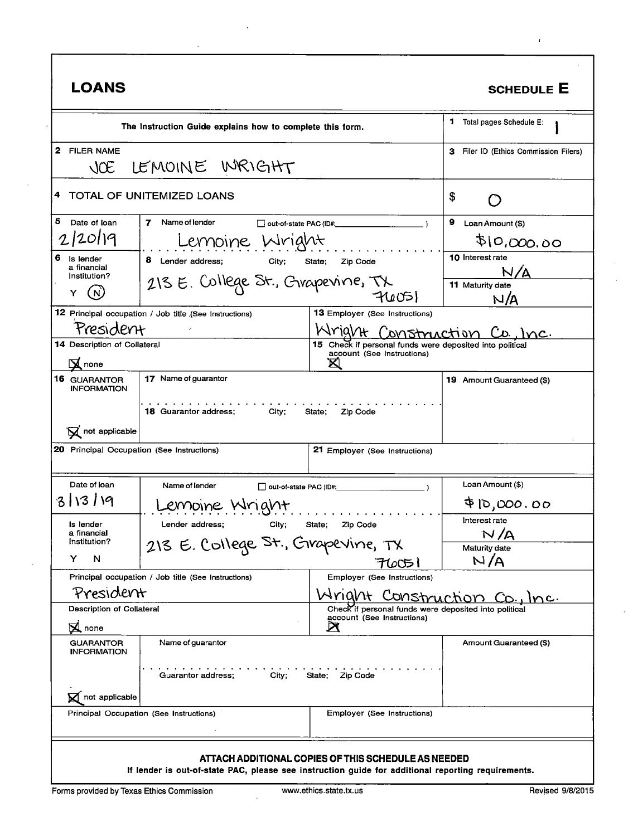| <b>LOANS</b>                                                                                                                                                                                                                                         |                                                           |                                                                                        | <b>SCHEDULE E</b>                         |
|------------------------------------------------------------------------------------------------------------------------------------------------------------------------------------------------------------------------------------------------------|-----------------------------------------------------------|----------------------------------------------------------------------------------------|-------------------------------------------|
|                                                                                                                                                                                                                                                      | The Instruction Guide explains how to complete this form. |                                                                                        | 1<br>Total pages Schedule E:              |
| 2<br><b>FILER NAME</b><br>$\triangle$                                                                                                                                                                                                                | LEMOINE WRIGHT                                            |                                                                                        | Filer ID (Ethics Commission Filers)<br>з. |
| 4                                                                                                                                                                                                                                                    | TOTAL OF UNITEMIZED LOANS                                 |                                                                                        | \$                                        |
| 5<br>Date of loan                                                                                                                                                                                                                                    | Name of lender<br>7                                       | $\Box$ out-of-state PAC (ID#: $\Box$                                                   | 9.<br>Loan Amount (\$)                    |
| 2/20119                                                                                                                                                                                                                                              | Lemoine Wright                                            |                                                                                        | \$10,000.00                               |
| 6<br>Is lender<br>a financial                                                                                                                                                                                                                        | 8 Lender address;<br>City;                                | Zip Code<br>State;                                                                     | 10 Interest rate                          |
| Institution?                                                                                                                                                                                                                                         | 213 E. College St., Grapevine, TX                         |                                                                                        | 11 Maturity date                          |
| Y                                                                                                                                                                                                                                                    |                                                           | 74051                                                                                  | N/A                                       |
|                                                                                                                                                                                                                                                      | 12 Principal occupation / Job title (See Instructions)    | <b>13 Employer (See Instructions)</b>                                                  |                                           |
| President                                                                                                                                                                                                                                            |                                                           | Wright Construction Co., Inc.                                                          |                                           |
| <b>14 Description of Collateral</b>                                                                                                                                                                                                                  |                                                           | 15 Check if personal funds were deposited into political<br>account (See Instructions) |                                           |
| $\mathbf \Xi$ none                                                                                                                                                                                                                                   |                                                           | Ø                                                                                      |                                           |
| 16 GUARANTOR<br><b>INFORMATION</b>                                                                                                                                                                                                                   | 17 Name of guarantor                                      |                                                                                        | 19 Amount Guaranteed (\$)                 |
| $\mathbf{\nabla}$ not applicable<br>20 Principal Occupation (See Instructions)                                                                                                                                                                       | <b>18 Guarantor address;</b><br>City;                     | State;<br>Zip Code<br>21 Employer (See Instructions)                                   |                                           |
| Date of loan                                                                                                                                                                                                                                         | Name of lender                                            | out-of-state PAC (ID#:                                                                 | Loan Amount (\$)                          |
| 3/13/19                                                                                                                                                                                                                                              | emoine Wright                                             |                                                                                        | <b>ずに,000.00</b>                          |
| Is lender<br>a financial                                                                                                                                                                                                                             | Lender address;<br>City;                                  | Zip Code<br>State;                                                                     | Interest rate<br>N/A                      |
| Institution?                                                                                                                                                                                                                                         | 213 E. College St., Grapevine, TX                         |                                                                                        | <b>Maturity date</b>                      |
| Y<br>N                                                                                                                                                                                                                                               |                                                           | FLOO51                                                                                 | N/A                                       |
|                                                                                                                                                                                                                                                      | Principal occupation / Job title (See Instructions)       | Employer (See Instructions)                                                            |                                           |
| President                                                                                                                                                                                                                                            |                                                           | MNUUL                                                                                  | Construction Co.,<br>Inc.                 |
| Description of Collateral                                                                                                                                                                                                                            |                                                           | Check if personal funds were deposited into political<br>account (See Instructions)    |                                           |
| $\mathbf{\Sigma}$ none                                                                                                                                                                                                                               |                                                           | $\boxtimes$                                                                            |                                           |
| <b>GUARANTOR</b><br><b>INFORMATION</b>                                                                                                                                                                                                               | Name of guarantor                                         |                                                                                        | Amount Guaranteed (\$)                    |
| Guarantor address;<br>City;<br>State;<br>Zip Code                                                                                                                                                                                                    |                                                           |                                                                                        |                                           |
| not applicable                                                                                                                                                                                                                                       |                                                           |                                                                                        |                                           |
|                                                                                                                                                                                                                                                      | Principal Occupation (See Instructions)                   | Employer (See Instructions)                                                            |                                           |
| ATTACH ADDITIONAL COPIES OF THIS SCHEDULE AS NEEDED<br>If lender is out-of-state PAC, please see instruction guide for additional reporting requirements.<br>www.ethics.state.tx.us<br>Revised 9/8/2015<br>Forms provided by Texas Ethics Commission |                                                           |                                                                                        |                                           |

 $\bar{L}$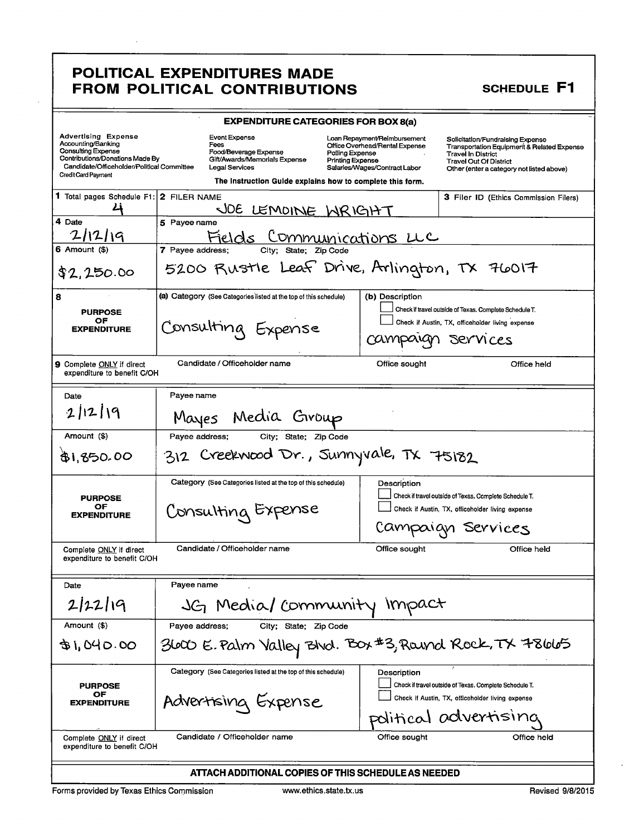**SCHEDULE F1** 

| <b>EXPENDITURE CATEGORIES FOR BOX 8(a)</b>                                                                                                                                                   |                                                                                                                                                                                                                            |                                                                                                                                                                                                                                                                                              |  |
|----------------------------------------------------------------------------------------------------------------------------------------------------------------------------------------------|----------------------------------------------------------------------------------------------------------------------------------------------------------------------------------------------------------------------------|----------------------------------------------------------------------------------------------------------------------------------------------------------------------------------------------------------------------------------------------------------------------------------------------|--|
| <b>Advertising Expense</b><br>Accounting/Banking<br><b>Consulting Expense</b><br>Contributions/Donations Made By<br>Candidate/Officeholder/Political Committee<br><b>Credit Card Payment</b> | <b>Event Expense</b><br>Fees<br>Food/Beverage Expense<br>Polling Expense<br>Gift/Awards/Memorials Expense<br><b>Printing Expense</b><br><b>Legal Services</b><br>The Instruction Guide explains how to complete this form. | Loan Repayment/Reimbursement<br>Solicitation/Fundraising Expense<br>Office Overhead/Rental Expense<br>Transportation Equipment & Related Expense<br><b>Travel In District</b><br><b>Travel Out Of District</b><br>Salaries/Wages/Contract Labor<br>Other (enter a category not listed above) |  |
| 1 Total pages Schedule F1: 2 FILER NAME                                                                                                                                                      |                                                                                                                                                                                                                            | 3 Filer ID (Ethics Commission Filers)                                                                                                                                                                                                                                                        |  |
|                                                                                                                                                                                              | JOE LEMOINE WRIGHT                                                                                                                                                                                                         |                                                                                                                                                                                                                                                                                              |  |
| 4 Date                                                                                                                                                                                       | 5 Payee name                                                                                                                                                                                                               |                                                                                                                                                                                                                                                                                              |  |
| 2112119<br>6 Amount (\$)                                                                                                                                                                     | Fields Communications LLC<br>7 Pavee address:<br>City;<br>State:                                                                                                                                                           |                                                                                                                                                                                                                                                                                              |  |
| \$2,250.00                                                                                                                                                                                   | 5200 Rustle Leaf Drive, Arlington, TX 76017                                                                                                                                                                                |                                                                                                                                                                                                                                                                                              |  |
| 8                                                                                                                                                                                            | (a) Category (See Categories listed at the top of this schedule)                                                                                                                                                           | (b) Description                                                                                                                                                                                                                                                                              |  |
| <b>PURPOSE</b>                                                                                                                                                                               |                                                                                                                                                                                                                            | Check if travel outside of Texas. Complete Schedule T.                                                                                                                                                                                                                                       |  |
| ОF<br><b>EXPENDITURE</b>                                                                                                                                                                     | Consulting Expense                                                                                                                                                                                                         | Check if Austin, TX, officeholder living expense                                                                                                                                                                                                                                             |  |
|                                                                                                                                                                                              |                                                                                                                                                                                                                            | campaign<br>Services                                                                                                                                                                                                                                                                         |  |
| <b>9</b> Complete ONLY if direct<br>expenditure to benefit C/OH                                                                                                                              | Candidate / Officeholder name                                                                                                                                                                                              | Office sought<br>Office held                                                                                                                                                                                                                                                                 |  |
| Date                                                                                                                                                                                         | Payee name                                                                                                                                                                                                                 |                                                                                                                                                                                                                                                                                              |  |
| 2 12 19                                                                                                                                                                                      | Media Group<br>Mayes                                                                                                                                                                                                       |                                                                                                                                                                                                                                                                                              |  |
| Amount (\$)                                                                                                                                                                                  | Payee address;<br>City; State; Zip Code                                                                                                                                                                                    |                                                                                                                                                                                                                                                                                              |  |
| Creekwood Dr., Sunnyvale, TX 75182<br>\$1,850.00<br>312                                                                                                                                      |                                                                                                                                                                                                                            |                                                                                                                                                                                                                                                                                              |  |
|                                                                                                                                                                                              | Category (See Categories listed at the top of this schedule)                                                                                                                                                               | Description                                                                                                                                                                                                                                                                                  |  |
| <b>PURPOSE</b>                                                                                                                                                                               |                                                                                                                                                                                                                            | Check if travel outside of Texas. Complete Schedule T.                                                                                                                                                                                                                                       |  |
| OF<br><b>EXPENDITURE</b>                                                                                                                                                                     | Consulting Expense                                                                                                                                                                                                         | Check if Austin, TX, officeholder living expense                                                                                                                                                                                                                                             |  |
|                                                                                                                                                                                              |                                                                                                                                                                                                                            | Campaign Services                                                                                                                                                                                                                                                                            |  |
| Complete ONLY if direct<br>expenditure to benefit C/OH                                                                                                                                       | Candidate / Officeholder name                                                                                                                                                                                              | Office sought<br>Office held                                                                                                                                                                                                                                                                 |  |
| Date                                                                                                                                                                                         | Payee name                                                                                                                                                                                                                 |                                                                                                                                                                                                                                                                                              |  |
| 2/22/19                                                                                                                                                                                      | JG Media/ Community Impact                                                                                                                                                                                                 |                                                                                                                                                                                                                                                                                              |  |
| Amount (\$)                                                                                                                                                                                  | Payee address:<br>City; State; Zip Code                                                                                                                                                                                    |                                                                                                                                                                                                                                                                                              |  |
| B1,040.00                                                                                                                                                                                    | 3600 E.Palm Valley Blvd. Box#3,Round Rock,TX 78665                                                                                                                                                                         |                                                                                                                                                                                                                                                                                              |  |
|                                                                                                                                                                                              | Category (See Categories listed at the top of this schedule)                                                                                                                                                               | Description                                                                                                                                                                                                                                                                                  |  |
| <b>PURPOSE</b><br>OF                                                                                                                                                                         |                                                                                                                                                                                                                            | Check if travel outside of Texas. Complete Schedule T.                                                                                                                                                                                                                                       |  |
| <b>EXPENDITURE</b>                                                                                                                                                                           | Advertising Expense                                                                                                                                                                                                        | Check if Austin, TX, officeholder living expense                                                                                                                                                                                                                                             |  |
|                                                                                                                                                                                              |                                                                                                                                                                                                                            | political advertising                                                                                                                                                                                                                                                                        |  |
| Complete ONLY if direct<br>expenditure to benefit C/OH                                                                                                                                       | Candidate / Officeholder name                                                                                                                                                                                              | Office sought<br>Office held                                                                                                                                                                                                                                                                 |  |
|                                                                                                                                                                                              | ATTACH ADDITIONAL COPIES OF THIS SCHEDULE AS NEEDED                                                                                                                                                                        |                                                                                                                                                                                                                                                                                              |  |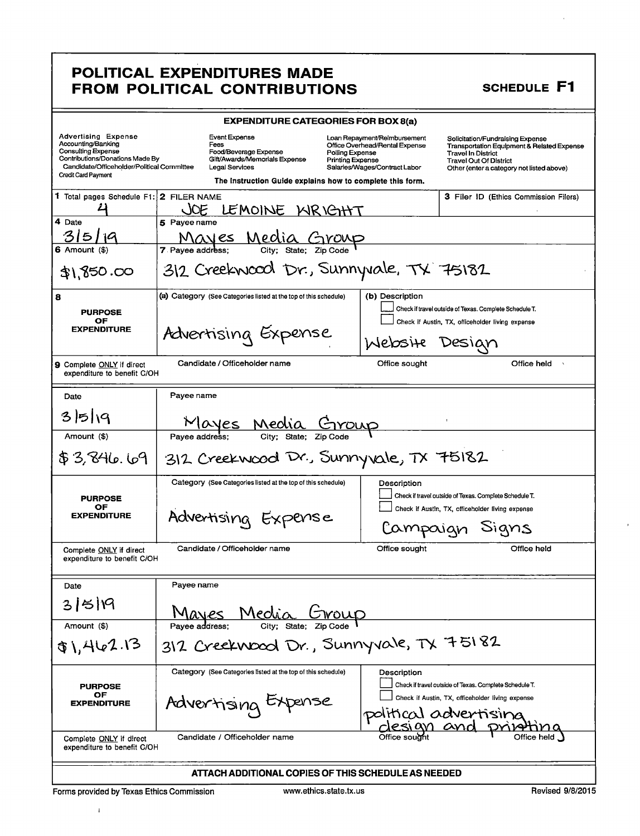| <b>EXPENDITURE CATEGORIES FOR BOX 8(a)</b>                                                                                                                                            |                                                                                                                                                                                                                     |                                                                                                 |                                                                                                                                                                                                      |
|---------------------------------------------------------------------------------------------------------------------------------------------------------------------------------------|---------------------------------------------------------------------------------------------------------------------------------------------------------------------------------------------------------------------|-------------------------------------------------------------------------------------------------|------------------------------------------------------------------------------------------------------------------------------------------------------------------------------------------------------|
| <b>Advertising Expense</b><br>Accounting/Banking<br><b>Consulting Expense</b><br>Contributions/Donations Made By<br>Candidate/Officeholder/Political Committee<br>Credit Card Payment | Event Expense<br>Fees<br>Food/Beverage Expense<br>Polling Expense<br>Gift/Awards/Memorials Expense<br><b>Printing Expense</b><br><b>Legal Services</b><br>The Instruction Guide explains how to complete this form. | Loan Repayment/Reimbursement<br>Office Overhead/Rental Expense<br>Salaries/Wages/Contract Labor | Solicitation/Fundraising Expense<br><b>Transportation Equipment &amp; Related Expense</b><br><b>Travel In District</b><br><b>Travel Out Of District</b><br>Other (enter a category not listed above) |
| $1$ Total pages Schedule F1: $2$ FILER NAME                                                                                                                                           | LEMOINE KIRIGHT<br>C                                                                                                                                                                                                |                                                                                                 | 3 Filer ID (Ethics Commission Filers)                                                                                                                                                                |
| 4 Date                                                                                                                                                                                | 5 Payee name                                                                                                                                                                                                        |                                                                                                 |                                                                                                                                                                                                      |
| <b>6</b> Amount (\$)                                                                                                                                                                  | <u>Mayes Media Group</u><br><b>7</b> Pavee address:<br>City:                                                                                                                                                        |                                                                                                 |                                                                                                                                                                                                      |
| 31,850.00                                                                                                                                                                             | 312 Creekwood Dr., Sunnyvale, TX 75182                                                                                                                                                                              |                                                                                                 |                                                                                                                                                                                                      |
| 8                                                                                                                                                                                     | (a) Category (See Categories listed at the top of this schedule)                                                                                                                                                    | (b) Description                                                                                 |                                                                                                                                                                                                      |
| <b>PURPOSE</b><br>OF                                                                                                                                                                  |                                                                                                                                                                                                                     |                                                                                                 | Check if travel outside of Texas. Complete Schedule T.<br>Check if Austin, TX, officeholder living expense                                                                                           |
| <b>EXPENDITURE</b>                                                                                                                                                                    | Advertising Expense                                                                                                                                                                                                 | Website                                                                                         | Desian                                                                                                                                                                                               |
| 9 Complete ONLY if direct<br>expenditure to benefit C/OH                                                                                                                              | Candidate / Officeholder name                                                                                                                                                                                       | Office sought                                                                                   | Office held<br>$\Delta$                                                                                                                                                                              |
| Date                                                                                                                                                                                  | Payee name                                                                                                                                                                                                          |                                                                                                 |                                                                                                                                                                                                      |
| 35 19                                                                                                                                                                                 | <u>Mayes Med</u>                                                                                                                                                                                                    |                                                                                                 |                                                                                                                                                                                                      |
| Amount (\$)                                                                                                                                                                           | $\overline{\text{City}}$ ;<br>Pavee address:                                                                                                                                                                        |                                                                                                 |                                                                                                                                                                                                      |
| \$3,846.69                                                                                                                                                                            | 312 Creekwood Dr., Sunnyvale, TX 75182                                                                                                                                                                              |                                                                                                 |                                                                                                                                                                                                      |
| <b>PURPOSE</b><br>OF<br><b>EXPENDITURE</b>                                                                                                                                            | Category (See Categories listed at the top of this schedule)<br>Advertising Expense                                                                                                                                 | Description                                                                                     | Check if travel outside of Texas. Complete Schedule T.<br>Check if Austin, TX, officeholder living expense<br>Campaign Signs                                                                         |
| Complete ONLY if direct<br>expenditure to benefit C/OH                                                                                                                                | Candidate / Officeholder name                                                                                                                                                                                       | Office sought                                                                                   | Office held                                                                                                                                                                                          |
| Date                                                                                                                                                                                  | Payee name                                                                                                                                                                                                          |                                                                                                 |                                                                                                                                                                                                      |
| 315119                                                                                                                                                                                | Media<br>Mayes                                                                                                                                                                                                      |                                                                                                 |                                                                                                                                                                                                      |
| Amount (\$)                                                                                                                                                                           | Pavee address:                                                                                                                                                                                                      |                                                                                                 |                                                                                                                                                                                                      |
| \$1,462.13                                                                                                                                                                            | 312 Creekwood Dr., Sunnyvale, TX 75182                                                                                                                                                                              |                                                                                                 |                                                                                                                                                                                                      |
| <b>PURPOSE</b><br>ОF<br><b>EXPENDITURE</b>                                                                                                                                            | Category (See Categories listed at the top of this schedule)<br>Advertising Expense                                                                                                                                 | Description<br>politica                                                                         | Check if travel outside of Texas. Complete Schedule T.<br>Check if Austin, TX, officeholder living expense<br>advertising                                                                            |
| Complete ONLY if direct<br>expenditure to benefit C/OH                                                                                                                                | Candidate / Officeholder name                                                                                                                                                                                       |                                                                                                 |                                                                                                                                                                                                      |
|                                                                                                                                                                                       | ATTACH ADDITIONAL COPIES OF THIS SCHEDULE AS NEEDED                                                                                                                                                                 |                                                                                                 |                                                                                                                                                                                                      |

 $\bar{1}$ 

# SCHEDULE F1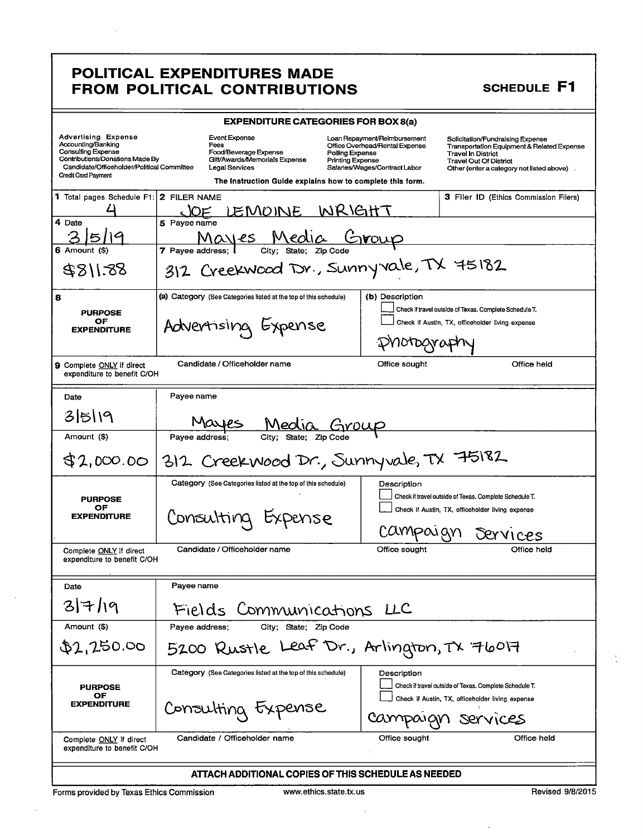#### **SCHEDULE F1**

|                                                                                                                                                                                       | <b>EXPENDITURE CATEGORIES FOR BOX 8(a)</b>                                                                                                                                                                   |                                                                                                                                                                                                                                                                                                          |  |
|---------------------------------------------------------------------------------------------------------------------------------------------------------------------------------------|--------------------------------------------------------------------------------------------------------------------------------------------------------------------------------------------------------------|----------------------------------------------------------------------------------------------------------------------------------------------------------------------------------------------------------------------------------------------------------------------------------------------------------|--|
| <b>Advertising Expense</b><br>Accounting/Banking<br>Consulting Expense<br>Contributions/Donations Made By<br>Candidate/Officeholder/Political Committee<br><b>Credit Card Payment</b> | Event Expense<br>Fees<br>Food/Beverage Expense<br>Polling Expense<br>Gift/Awards/Memorials Expense<br><b>Printing Expense</b><br>Legal Services<br>The Instruction Guide explains how to complete this form. | Loan Repayment/Reimbursement<br>Solicitation/Fundraising Expense<br>Office Overhead/Rental Expense<br><b>Transportation Equipment &amp; Related Expense</b><br><b>Travel In District</b><br><b>Travel Out Of District</b><br>Salaries/Wages/Contract Labor<br>Other (enter a category not listed above). |  |
| <b>1</b> Total pages Schedule F1:                                                                                                                                                     | 2 FILER NAME<br>WRIGHT<br><u>JOE LEMOINE</u>                                                                                                                                                                 | <b>3 Filer ID (Ethics Commission Filers)</b>                                                                                                                                                                                                                                                             |  |
| 4 Date                                                                                                                                                                                | 5 Payee name                                                                                                                                                                                                 |                                                                                                                                                                                                                                                                                                          |  |
| 5119<br>6 Amount (\$                                                                                                                                                                  | Mayes Media Group<br>7 Payee address:                                                                                                                                                                        |                                                                                                                                                                                                                                                                                                          |  |
| 8811.88                                                                                                                                                                               | 312 Creekwood TSr., Sunnyvale, TX 75182                                                                                                                                                                      |                                                                                                                                                                                                                                                                                                          |  |
| 8                                                                                                                                                                                     | (a) Category (See Categories listed at the top of this schedule)                                                                                                                                             | (b) Description<br>Check if travel outside of Texas. Complete Schedule T.                                                                                                                                                                                                                                |  |
| <b>PURPOSE</b><br>OF                                                                                                                                                                  | Advertising Expense                                                                                                                                                                                          | Check if Austin, TX, officeholder living expense                                                                                                                                                                                                                                                         |  |
| <b>EXPENDITURE</b>                                                                                                                                                                    |                                                                                                                                                                                                              |                                                                                                                                                                                                                                                                                                          |  |
| 9 Complete ONLY if direct<br>expenditure to benefit C/OH                                                                                                                              | Candidate / Officeholder name                                                                                                                                                                                | Office sought<br>Office held                                                                                                                                                                                                                                                                             |  |
| Date                                                                                                                                                                                  | Pavee name                                                                                                                                                                                                   |                                                                                                                                                                                                                                                                                                          |  |
| 35119                                                                                                                                                                                 | Mayes                                                                                                                                                                                                        |                                                                                                                                                                                                                                                                                                          |  |
| Amount (\$)                                                                                                                                                                           | Pavee address:                                                                                                                                                                                               |                                                                                                                                                                                                                                                                                                          |  |
| 312 Creek wood Dr., Sunnyvale, TX 75182<br>\$2,000.00                                                                                                                                 |                                                                                                                                                                                                              |                                                                                                                                                                                                                                                                                                          |  |
|                                                                                                                                                                                       | Category (See Categories listed at the top of this schedule)                                                                                                                                                 | Description                                                                                                                                                                                                                                                                                              |  |
| <b>PURPOSE</b><br>OF                                                                                                                                                                  |                                                                                                                                                                                                              | Check if travel outside of Texas. Complete Schedule T.<br>Check if Austin, TX, officeholder living expense                                                                                                                                                                                               |  |
| <b>EXPENDITURE</b>                                                                                                                                                                    | Consulting                                                                                                                                                                                                   | Campougn<br>Dervices                                                                                                                                                                                                                                                                                     |  |
| Complete ONLY if direct<br>expenditure to benefit C/OH                                                                                                                                | Candidate / Officeholder name                                                                                                                                                                                | Office sought<br>Office held                                                                                                                                                                                                                                                                             |  |
| Date                                                                                                                                                                                  | Payee name                                                                                                                                                                                                   |                                                                                                                                                                                                                                                                                                          |  |
| 317/19                                                                                                                                                                                | Fields Communications LLC                                                                                                                                                                                    |                                                                                                                                                                                                                                                                                                          |  |
| Amount (\$)                                                                                                                                                                           | Payee address;<br>City; State; Zip Code                                                                                                                                                                      |                                                                                                                                                                                                                                                                                                          |  |
| \$2,250.00                                                                                                                                                                            | 5200 Rustle Leaf Dr., Arlington, TX 76017                                                                                                                                                                    |                                                                                                                                                                                                                                                                                                          |  |
| <b>PURPOSE</b>                                                                                                                                                                        | Category (See Categories listed at the top of this schedule)                                                                                                                                                 | Description<br>Check if travel outside of Texas. Complete Schedule T.                                                                                                                                                                                                                                    |  |
| OF<br><b>EXPENDITURE</b>                                                                                                                                                              | Consulting txpense                                                                                                                                                                                           | Check if Austin, TX, officeholder living expense<br>Campaign services                                                                                                                                                                                                                                    |  |
| Complete ONLY if direct<br>expenditure to benefit C/OH                                                                                                                                | Candidate / Officeholder name                                                                                                                                                                                | Office held<br>Office sought                                                                                                                                                                                                                                                                             |  |
|                                                                                                                                                                                       | ATTACH ADDITIONAL COPIES OF THIS SCHEDULE AS NEEDED                                                                                                                                                          |                                                                                                                                                                                                                                                                                                          |  |
|                                                                                                                                                                                       |                                                                                                                                                                                                              |                                                                                                                                                                                                                                                                                                          |  |

Forms provided by Texas Ethics Commission

www.ethics.state.tx.us

l.

 $\lambda$